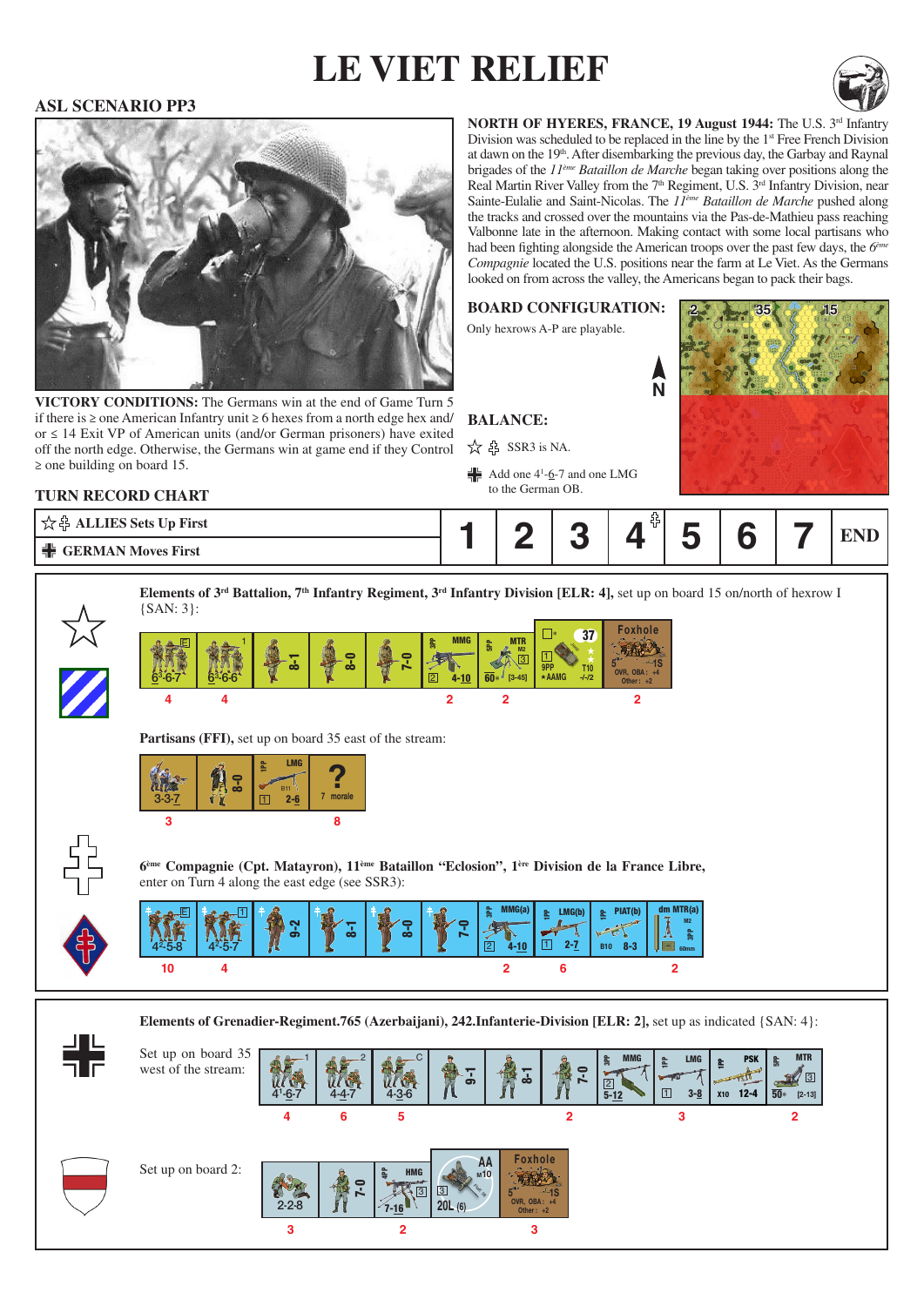# **le viet relief**



### **ASL SCENARIO PP3**



VICTORY CONDITIONS: The Germans win at the end of Game Turn 5 if there is ≥ one American Infantry unit ≥ 6 hexes from a north edge hex and/ or ≤ 14 Exit VP of American units (and/or German prisoners) have exited off the north edge. Otherwise, the Germans win at game end if they Control ≥ one building on board 15.

**NORTH OF HYERES, FRANCE, 19 August 1944: The U.S. 3rd Infantry** Division was scheduled to be replaced in the line by the 1<sup>st</sup> Free French Division at dawn on the 19<sup>th</sup>. After disembarking the previous day, the Garbay and Raynal brigades of the *11ème Bataillon de Marche* began taking over positions along the Real Martin River Valley from the 7<sup>th</sup> Regiment, U.S. 3<sup>rd</sup> Infantry Division, near Sainte-Eulalie and Saint-Nicolas. The *11ème Bataillon de Marche* pushed along the tracks and crossed over the mountains via the Pas-de-Mathieu pass reaching Valbonne late in the afternoon. Making contact with some local partisans who had been fighting alongside the American troops over the past few days, the *6ème Compagnie* located the U.S. positions near the farm at Le Viet. As the Germans looked on from across the valley, the Americans began to pack their bags.



**2**

**MTR** 32<sup>0</sup> B

### **Turn record chart**

| <b>ALLIES Sets Up First</b> |  |     |  |  |  |
|-----------------------------|--|-----|--|--|--|
| GERMAN Moves First          |  | . . |  |  |  |





Set up on board 35 west of the stream:

**3**

**<sup>4</sup> <sup>5</sup> <sup>3</sup>** 9-1 8-1 7-0  $\frac{2}{5}$ <br>5-<u>12</u> MMG 2 **6** 41  $-6-7$ 1  $4 - 4 - 7$ 2 **2** 4-3-6 C 3-8 1PP LMG  $\frac{2}{1}$   $\frac{1 \times 10^{16}}{3 \cdot 8}$   $\frac{2}{1}$   $\frac{2}{1}$   $\frac{2}{1}$   $\frac{2}{1}$   $\frac{2}{1}$   $\frac{2}{1}$   $\frac{2}{1}$   $\frac{2}{1}$   $\frac{2}{1}$   $\frac{2}{1}$   $\frac{2}{1}$   $\frac{2}{1}$   $\frac{2}{1}$   $\frac{2}{1}$   $\frac{2}{1}$   $\frac{2}{1}$   $\frac{2}{1}$   $\frac{2}{1}$   $\frac{2}{1$  $12-4$   $\overline{50}$  [2-13] **PP** PSK X10 Set up on board 2:  $2-2-8$   $8$   $7$ HMG  $\sqrt{3}$ 7-0 Foxhole OVR, OBA : +4 Other : +2  $3 \frac{1}{3}$   $5 \frac{1}{3}$  1S **AA** Rak<sub>38</sub> **M8** ∗ **20L (20) M1020L (6)** Rak 38

**2**

**3**